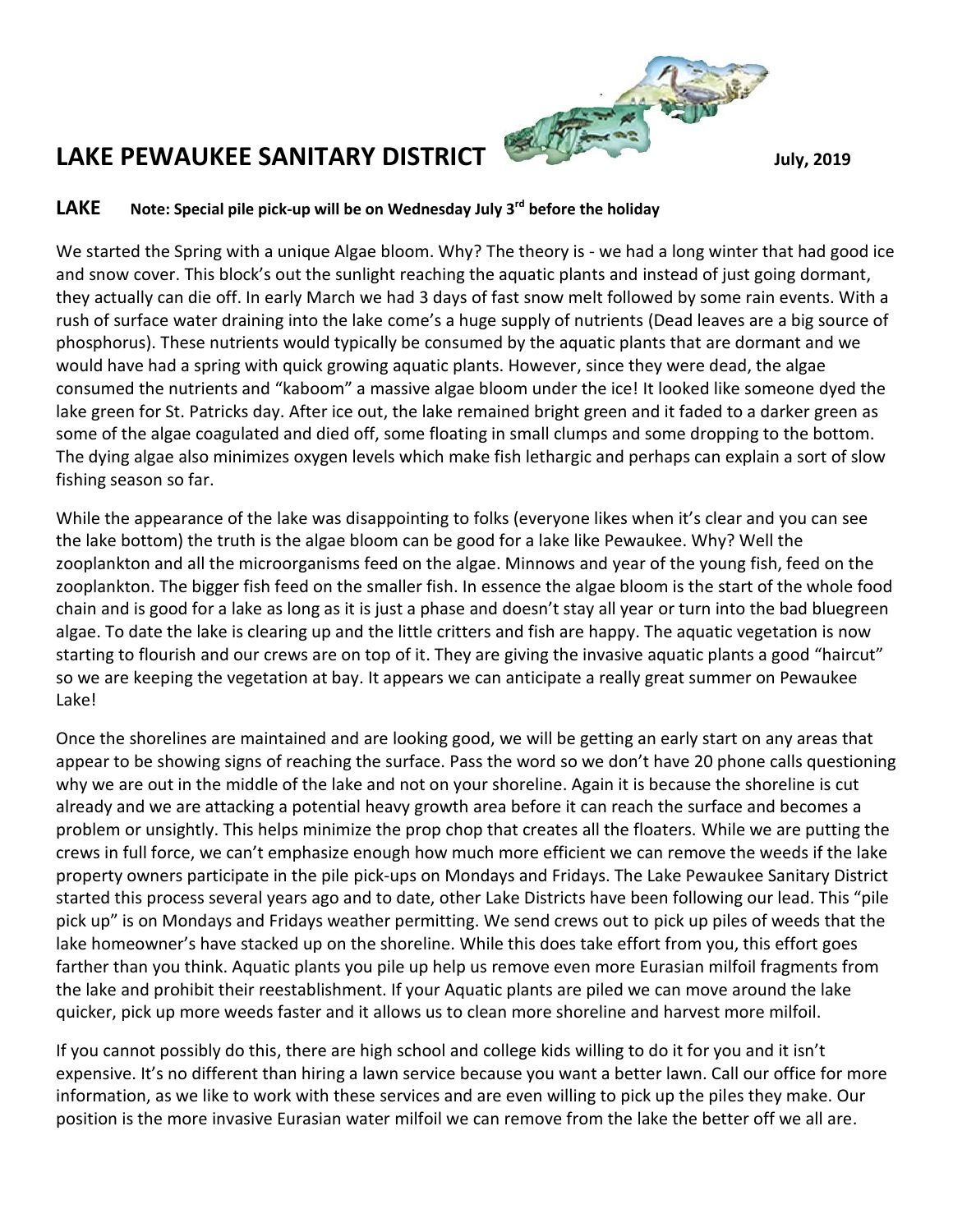

## **LAKE Note: Special pile pick-up will be on Wednesday July 3rd before the holiday**

We started the Spring with a unique Algae bloom. Why? The theory is - we had a long winter that had good ice and snow cover. This block's out the sunlight reaching the aquatic plants and instead of just going dormant, they actually can die off. In early March we had 3 days of fast snow melt followed by some rain events. With a rush of surface water draining into the lake come's a huge supply of nutrients (Dead leaves are a big source of phosphorus). These nutrients would typically be consumed by the aquatic plants that are dormant and we would have had a spring with quick growing aquatic plants. However, since they were dead, the algae consumed the nutrients and "kaboom" a massive algae bloom under the ice! It looked like someone dyed the lake green for St. Patricks day. After ice out, the lake remained bright green and it faded to a darker green as some of the algae coagulated and died off, some floating in small clumps and some dropping to the bottom. The dying algae also minimizes oxygen levels which make fish lethargic and perhaps can explain a sort of slow fishing season so far.

While the appearance of the lake was disappointing to folks (everyone likes when it's clear and you can see the lake bottom) the truth is the algae bloom can be good for a lake like Pewaukee. Why? Well the zooplankton and all the microorganisms feed on the algae. Minnows and year of the young fish, feed on the zooplankton. The bigger fish feed on the smaller fish. In essence the algae bloom is the start of the whole food chain and is good for a lake as long as it is just a phase and doesn't stay all year or turn into the bad bluegreen algae. To date the lake is clearing up and the little critters and fish are happy. The aquatic vegetation is now starting to flourish and our crews are on top of it. They are giving the invasive aquatic plants a good "haircut" so we are keeping the vegetation at bay. It appears we can anticipate a really great summer on Pewaukee Lake!

Once the shorelines are maintained and are looking good, we will be getting an early start on any areas that appear to be showing signs of reaching the surface. Pass the word so we don't have 20 phone calls questioning why we are out in the middle of the lake and not on your shoreline. Again it is because the shoreline is cut already and we are attacking a potential heavy growth area before it can reach the surface and becomes a problem or unsightly. This helps minimize the prop chop that creates all the floaters. While we are putting the crews in full force, we can't emphasize enough how much more efficient we can remove the weeds if the lake property owners participate in the pile pick-ups on Mondays and Fridays. The Lake Pewaukee Sanitary District started this process several years ago and to date, other Lake Districts have been following our lead. This "pile pick up" is on Mondays and Fridays weather permitting. We send crews out to pick up piles of weeds that the lake homeowner's have stacked up on the shoreline. While this does take effort from you, this effort goes farther than you think. Aquatic plants you pile up help us remove even more Eurasian milfoil fragments from the lake and prohibit their reestablishment. If your Aquatic plants are piled we can move around the lake quicker, pick up more weeds faster and it allows us to clean more shoreline and harvest more milfoil.

If you cannot possibly do this, there are high school and college kids willing to do it for you and it isn't expensive. It's no different than hiring a lawn service because you want a better lawn. Call our office for more information, as we like to work with these services and are even willing to pick up the piles they make. Our position is the more invasive Eurasian water milfoil we can remove from the lake the better off we all are.